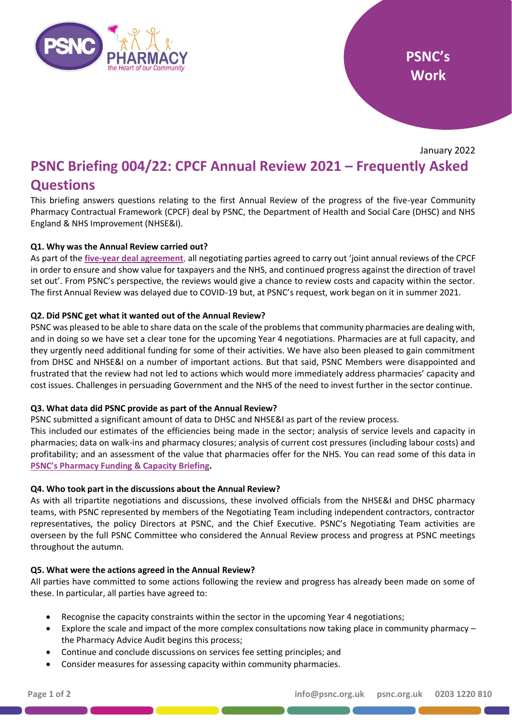

January 2022

# **PSNC Briefing 004/22: CPCF Annual Review 2021 – Frequently Asked Questions**

This briefing answers questions relating to the first Annual Review of the progress of the five-year Community Pharmacy Contractual Framework (CPCF) deal by PSNC, the Department of Health and Social Care (DHSC) and NHS England & NHS Improvement (NHSE&I).

## **Q1. Why was the Annual Review carried out?**

As part of the **[five-year deal agreement](https://www.gov.uk/government/publications/community-pharmacy-contractual-framework-2019-to-2024)**, all negotiating parties agreed to carry out 'joint annual reviews of the CPCF in order to ensure and show value for taxpayers and the NHS, and continued progress against the direction of travel set out'. From PSNC's perspective, the reviews would give a chance to review costs and capacity within the sector. The first Annual Review was delayed due to COVID-19 but, at PSNC's request, work began on it in summer 2021.

## **Q2. Did PSNC get what it wanted out of the Annual Review?**

PSNC was pleased to be able to share data on the scale of the problems that community pharmacies are dealing with, and in doing so we have set a clear tone for the upcoming Year 4 negotiations. Pharmacies are at full capacity, and they urgently need additional funding for some of their activities. We have also been pleased to gain commitment from DHSC and NHSE&I on a number of important actions. But that said, PSNC Members were disappointed and frustrated that the review had not led to actions which would more immediately address pharmacies' capacity and cost issues. Challenges in persuading Government and the NHS of the need to invest further in the sector continue.

#### **Q3. What data did PSNC provide as part of the Annual Review?**

PSNC submitted a significant amount of data to DHSC and NHSE&I as part of the review process.

This included our estimates of the efficiencies being made in the sector; analysis of service levels and capacity in pharmacies; data on walk-ins and pharmacy closures; analysis of current cost pressures (including labour costs) and profitability; and an assessment of the value that pharmacies offer for the NHS. You can read some of this data in **[PSNC's Pharmacy Funding](https://psnc.org.uk/psncs-work/psnc-briefings-psncs-work/psnc-briefing-003-22-community-pharmacy-funding-and-capacity/) & Capacity Briefing.**

#### **Q4. Who took part in the discussions about the Annual Review?**

As with all tripartite negotiations and discussions, these involved officials from the NHSE&I and DHSC pharmacy teams, with PSNC represented by members of the Negotiating Team including independent contractors, contractor representatives, the policy Directors at PSNC, and the Chief Executive. PSNC's Negotiating Team activities are overseen by the full PSNC Committee who considered the Annual Review process and progress at PSNC meetings throughout the autumn.

#### **Q5. What were the actions agreed in the Annual Review?**

All parties have committed to some actions following the review and progress has already been made on some of these. In particular, all parties have agreed to:

- Recognise the capacity constraints within the sector in the upcoming Year 4 negotiations;
- Explore the scale and impact of the more complex consultations now taking place in community pharmacy the Pharmacy Advice Audit begins this process;
- Continue and conclude discussions on services fee setting principles; and
- Consider measures for assessing capacity within community pharmacies.